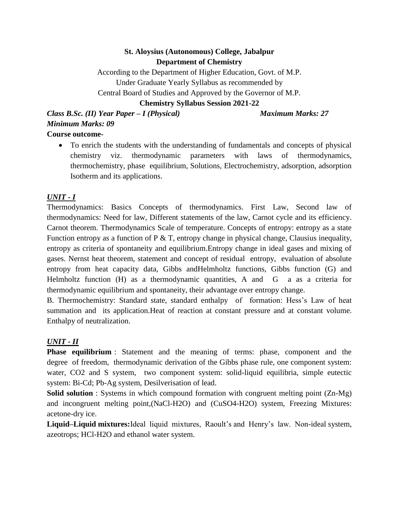## **St. Aloysius (Autonomous) College, Jabalpur Department of Chemistry**

According to the Department of Higher Education, Govt. of M.P. Under Graduate Yearly Syllabus as recommended by Central Board of Studies and Approved by the Governor of M.P.

#### **Chemistry Syllabus Session 2021-22**

*Class B.Sc. (II) Year Paper – I (Physical) Maximum Marks: 27 Minimum Marks: 09*

## **Course outcome-**

• To enrich the students with the understanding of fundamentals and concepts of physical chemistry viz. thermodynamic parameters with laws of thermodynamics, thermochemistry, phase equilibrium, Solutions, Electrochemistry, adsorption, adsorption Isotherm and its applications.

## *UNIT - I*

Thermodynamics: Basics Concepts of thermodynamics. First Law, Second law of thermodynamics: Need for law, Different statements of the law, Carnot cycle and its efficiency. Carnot theorem. Thermodynamics Scale of temperature. Concepts of entropy: entropy as a state Function entropy as a function of  $P \& T$ , entropy change in physical change, Clausius inequality, entropy as criteria of spontaneity and equilibrium.Entropy change in ideal gases and mixing of gases. Nernst heat theorem, statement and concept of residual entropy, evaluation of absolute entropy from heat capacity data, Gibbs andHelmholtz functions, Gibbs function (G) and Helmholtz function (H) as a thermodynamic quantities, A and G a as a criteria for thermodynamic equilibrium and spontaneity, their advantage over entropy change.

B. Thermochemistry: Standard state, standard enthalpy of formation: Hess's Law of heat summation and its application.Heat of reaction at constant pressure and at constant volume. Enthalpy of neutralization.

# *UNIT - II*

**Phase equilibrium** : Statement and the meaning of terms: phase, component and the degree of freedom, thermodynamic derivation of the Gibbs phase rule, one component system: water, CO2 and S system, two component system: solid-liquid equilibria, simple eutectic system: Bi-Cd; Pb-Ag system, Desilverisation of lead.

**Solid solution** : Systems in which compound formation with congruent melting point (Zn-Mg) and incongruent melting point,(NaCl-H2O) and (CuSO4-H2O) system, Freezing Mixtures: acetone-dry ice.

**Liquid–Liquid mixtures:**Ideal liquid mixtures, Raoult's and Henry's law. Non-ideal system, azeotrops; HCl-H2O and ethanol water system.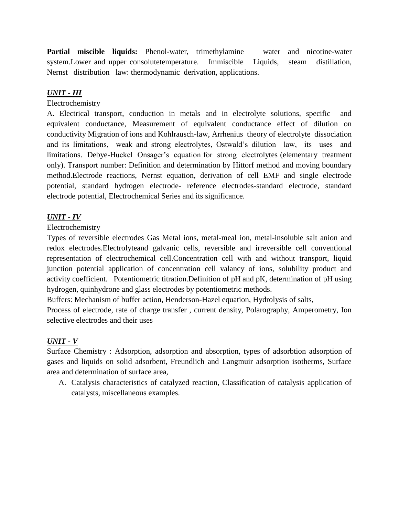**Partial miscible liquids:** Phenol-water, trimethylamine – water and nicotine-water system.Lower and upper consolutetemperature. Immiscible Liquids, steam distillation, Nernst distribution law: thermodynamic derivation, applications.

## *UNIT - III*

#### Electrochemistry

A. Electrical transport, conduction in metals and in electrolyte solutions, specific and equivalent conductance, Measurement of equivalent conductance effect of dilution on conductivity Migration of ions and Kohlrausch-law, Arrhenius theory of electrolyte dissociation and its limitations, weak and strong electrolytes, Ostwald's dilution law, its uses and limitations. Debye-Huckel Onsager's equation for strong electrolytes (elementary treatment only). Transport number: Definition and determination by Hittorf method and moving boundary method.Electrode reactions, Nernst equation, derivation of cell EMF and single electrode potential, standard hydrogen electrode- reference electrodes-standard electrode, standard electrode potential, Electrochemical Series and its significance.

## *UNIT - IV*

#### Electrochemistry

Types of reversible electrodes Gas Metal ions, metal-meal ion, metal-insoluble salt anion and redox electrodes.Electrolyteand galvanic cells, reversible and irreversible cell conventional representation of electrochemical cell.Concentration cell with and without transport, liquid junction potential application of concentration cell valancy of ions, solubility product and activity coefficient. Potentiometric titration.Definition of pH and pK, determination of pH using hydrogen, quinhydrone and glass electrodes by potentiometric methods.

Buffers: Mechanism of buffer action, Henderson-Hazel equation, Hydrolysis of salts,

Process of electrode, rate of charge transfer , current density, Polarography, Amperometry, Ion selective electrodes and their uses

# *UNIT - V*

Surface Chemistry : Adsorption, adsorption and absorption, types of adsorbtion adsorption of gases and liquids on solid adsorbent, Freundlich and Langmuir adsorption isotherms, Surface area and determination of surface area,

A. Catalysis characteristics of catalyzed reaction, Classification of catalysis application of catalysts, miscellaneous examples.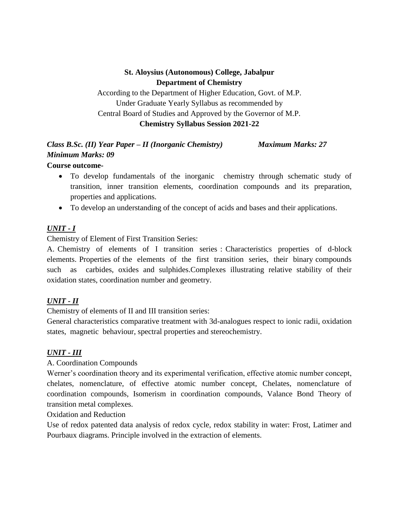## **St. Aloysius (Autonomous) College, Jabalpur Department of Chemistry**

According to the Department of Higher Education, Govt. of M.P. Under Graduate Yearly Syllabus as recommended by Central Board of Studies and Approved by the Governor of M.P. **Chemistry Syllabus Session 2021-22**

# *Class B.Sc. (II) Year Paper – II (Inorganic Chemistry) Maximum Marks: 27 Minimum Marks: 09*

#### **Course outcome-**

- To develop fundamentals of the inorganic chemistry through schematic study of transition, inner transition elements, coordination compounds and its preparation, properties and applications.
- To develop an understanding of the concept of acids and bases and their applications.

## *UNIT - I*

Chemistry of Element of First Transition Series:

A. Chemistry of elements of I transition series : Characteristics properties of d-block elements. Properties of the elements of the first transition series, their binary compounds such as carbides, oxides and sulphides.Complexes illustrating relative stability of their oxidation states, coordination number and geometry.

#### *UNIT - II*

Chemistry of elements of II and III transition series:

General characteristics comparative treatment with 3d-analogues respect to ionic radii, oxidation states, magnetic behaviour, spectral properties and stereochemistry.

#### *UNIT - III*

#### A. Coordination Compounds

Werner's coordination theory and its experimental verification, effective atomic number concept, chelates, nomenclature, of effective atomic number concept, Chelates, nomenclature of coordination compounds, Isomerism in coordination compounds, Valance Bond Theory of transition metal complexes.

#### Oxidation and Reduction

Use of redox patented data analysis of redox cycle, redox stability in water: Frost, Latimer and Pourbaux diagrams. Principle involved in the extraction of elements.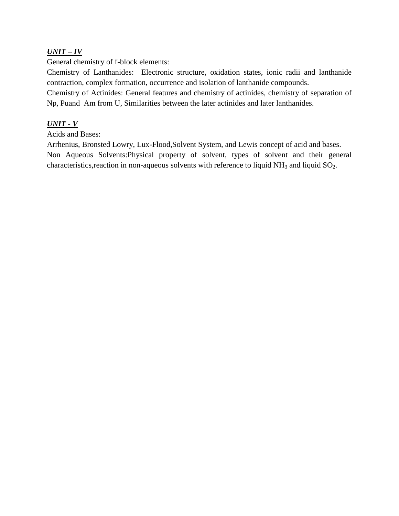## *UNIT – IV*

General chemistry of f-block elements:

Chemistry of Lanthanides: Electronic structure, oxidation states, ionic radii and lanthanide contraction, complex formation, occurrence and isolation of lanthanide compounds.

Chemistry of Actinides: General features and chemistry of actinides, chemistry of separation of Np, Puand Am from U, Similarities between the later actinides and later lanthanides.

## *UNIT - V*

Acids and Bases:

Arrhenius, Bronsted Lowry, Lux-Flood,Solvent System, and Lewis concept of acid and bases. Non Aqueous Solvents:Physical property of solvent, types of solvent and their general characteristics, reaction in non-aqueous solvents with reference to liquid  $NH_3$  and liquid  $SO_2$ .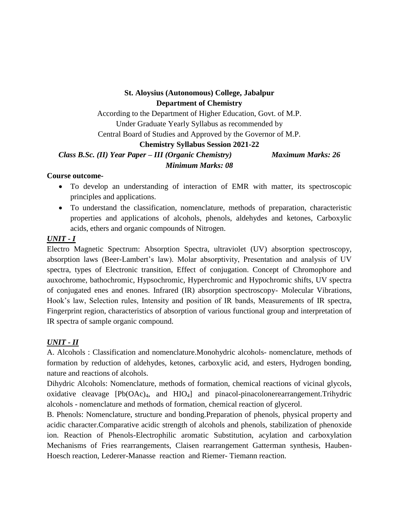## **St. Aloysius (Autonomous) College, Jabalpur Department of Chemistry**

According to the Department of Higher Education, Govt. of M.P. Under Graduate Yearly Syllabus as recommended by Central Board of Studies and Approved by the Governor of M.P.

#### **Chemistry Syllabus Session 2021-22**

*Class B.Sc. (II) Year Paper – III (Organic Chemistry) Maximum Marks: 26 Minimum Marks: 08*

#### **Course outcome-**

- To develop an understanding of interaction of EMR with matter, its spectroscopic principles and applications.
- To understand the classification, nomenclature, methods of preparation, characteristic properties and applications of alcohols, phenols, aldehydes and ketones, Carboxylic acids, ethers and organic compounds of Nitrogen.

## *UNIT - I*

Electro Magnetic Spectrum: Absorption Spectra, ultraviolet (UV) absorption spectroscopy, absorption laws (Beer-Lambert's law). Molar absorptivity, Presentation and analysis of UV spectra, types of Electronic transition, Effect of conjugation. Concept of Chromophore and auxochrome, bathochromic, Hypsochromic, Hyperchromic and Hypochromic shifts, UV spectra of conjugated enes and enones. Infrared (IR) absorption spectroscopy- Molecular Vibrations, Hook's law, Selection rules, Intensity and position of IR bands, Measurements of IR spectra, Fingerprint region, characteristics of absorption of various functional group and interpretation of IR spectra of sample organic compound.

## *UNIT - II*

A. Alcohols : Classification and nomenclature.Monohydric alcohols- nomenclature, methods of formation by reduction of aldehydes, ketones, carboxylic acid, and esters, Hydrogen bonding, nature and reactions of alcohols.

Dihydric Alcohols: Nomenclature, methods of formation, chemical reactions of vicinal glycols, oxidative cleavage  $[Pb(OAc)<sub>4</sub>, and HIO<sub>4</sub>]$  and pinacol-pinacolonerearrangement. Trihydric alcohols - nomenclature and methods of formation, chemical reaction of glycerol.

B. Phenols: Nomenclature, structure and bonding.Preparation of phenols, physical property and acidic character.Comparative acidic strength of alcohols and phenols, stabilization of phenoxide ion. Reaction of Phenols-Electrophilic aromatic Substitution, acylation and carboxylation Mechanisms of Fries rearrangements, Claisen rearrangement Gatterman synthesis, Hauben-Hoesch reaction, Lederer-Manasse reaction and Riemer- Tiemann reaction.